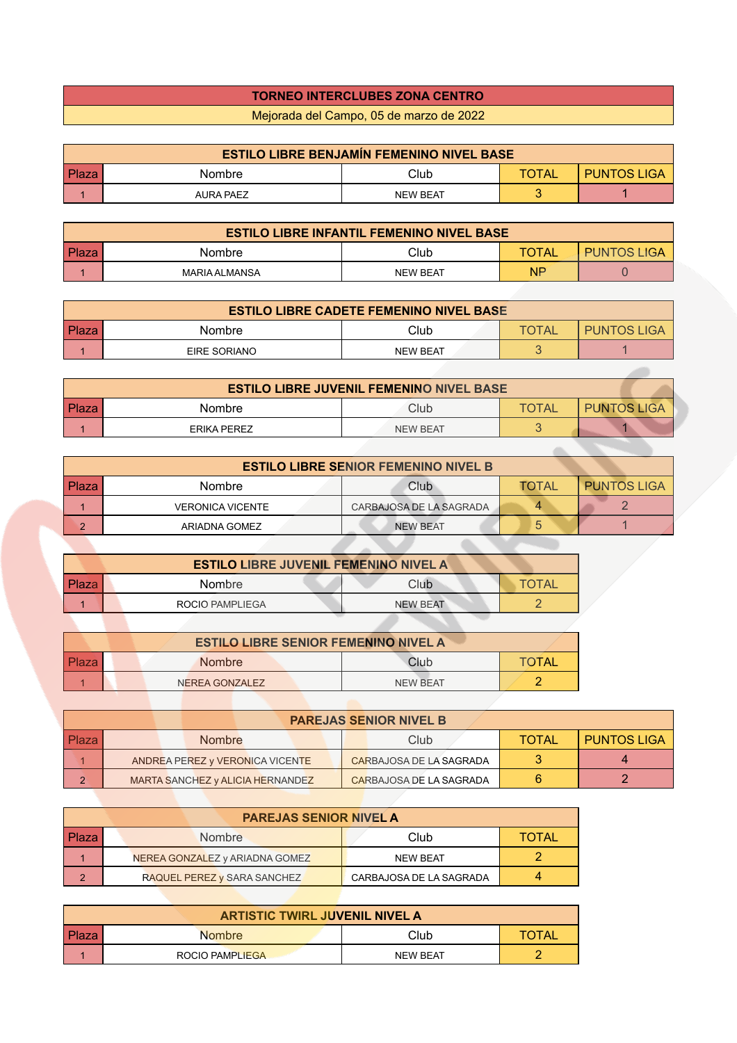## **TORNEO INTERCLUBES ZONA CENTRO**

Mejorada del Campo, 05 de marzo de 2022

| <b>ESTILO LIBRE BENJAMÍN FEMENINO NIVEL BASE</b> |           |                 |       |                    |  |
|--------------------------------------------------|-----------|-----------------|-------|--------------------|--|
| Plaza                                            | Nombre    | Club            | TOTAL | <b>PUNTOS LIGA</b> |  |
|                                                  | AURA PAEZ | <b>NEW BEAT</b> |       |                    |  |

| <b>ESTILO LIBRE INFANTIL FEMENINO NIVEL BASE</b> |               |                 |              |                    |  |
|--------------------------------------------------|---------------|-----------------|--------------|--------------------|--|
| <b>Plaza</b>                                     | Nombre        | Club            | <b>TOTAL</b> | <b>PUNTOS LIGA</b> |  |
|                                                  | MARIA ALMANSA | <b>NEW BEAT</b> | ΝP           |                    |  |

|              | <b>ESTILO LIBRE CADETE FEMENINO NIVEL BASE</b> |                 |      |                    |  |  |
|--------------|------------------------------------------------|-----------------|------|--------------------|--|--|
| <b>Plaza</b> | Nombre                                         | Club.           | IATC | <b>PUNTOS LIGA</b> |  |  |
|              | EIRE SORIANO                                   | <b>NEW BEAT</b> |      |                    |  |  |

| <b>ESTILO LIBRE JUVENIL FEMENINO NIVEL BASE</b> |             |                 |              |                    |  |
|-------------------------------------------------|-------------|-----------------|--------------|--------------------|--|
| l Plaza                                         | Nombre      | Club            | <b>TOTAL</b> | <b>PUNTOS LIGA</b> |  |
|                                                 | ERIKA PEREZ | <b>NEW BEAT</b> |              |                    |  |

| <b>ESTILO LIBRE SENIOR FEMENINO NIVEL B</b> |                         |                         |              |                    |  |
|---------------------------------------------|-------------------------|-------------------------|--------------|--------------------|--|
| Plaza                                       | <b>Nombre</b>           | Club                    | <b>TOTAL</b> | <b>PUNTOS LIGA</b> |  |
|                                             | <b>VERONICA VICENTE</b> | CARBAJOSA DE LA SAGRADA |              |                    |  |
| $\Omega$                                    | ARIADNA GOMEZ           | <b>NEW BEAT</b>         | ა            |                    |  |

*Contract Contract Contract Contract* 

| <b>ESTILO LIBRE JUVENIL FEMENINO NIVEL A</b> |                 |                 |              |  |  |
|----------------------------------------------|-----------------|-----------------|--------------|--|--|
| Plaza                                        | <b>Nombre</b>   | Club            | <b>TOTAL</b> |  |  |
|                                              | ROCIO PAMPLIEGA | <b>NEW BEAT</b> |              |  |  |
|                                              |                 |                 |              |  |  |

| <b>ESTILO LIBRE SENIOR FEMENINO NIVEL A</b> |  |  |                |  |          |       |
|---------------------------------------------|--|--|----------------|--|----------|-------|
| <b>Plaza</b>                                |  |  | <b>Nombre</b>  |  | Club     | TOTAL |
|                                             |  |  | NEREA GONZALEZ |  | NFW RFAT |       |

| <b>PAREJAS SENIOR NIVEL B</b> |  |  |                                  |  |  |                         |              |                    |
|-------------------------------|--|--|----------------------------------|--|--|-------------------------|--------------|--------------------|
| <b>Plaza</b>                  |  |  | <b>Nombre</b>                    |  |  | Club                    | <b>TOTAL</b> | <b>PUNTOS LIGA</b> |
|                               |  |  | ANDREA PEREZ y VERONICA VICENTE  |  |  | CARBAJOSA DE LA SAGRADA |              |                    |
| ◠                             |  |  | MARTA SANCHEZ y ALICIA HERNANDEZ |  |  | CARBAJOSA DE LA SAGRADA |              |                    |

| <b>PAREJAS SENIOR NIVEL A</b> |                                    |                         |              |  |  |  |
|-------------------------------|------------------------------------|-------------------------|--------------|--|--|--|
| l Plaza                       | Nombre                             | Club                    | <b>TOTAL</b> |  |  |  |
|                               | NEREA GONZALEZ y ARIADNA GOMEZ     | <b>NEW BEAT</b>         |              |  |  |  |
| $\sqrt{2}$                    | <b>RAQUEL PEREZ y SARA SANCHEZ</b> | CARBAJOSA DE LA SAGRADA |              |  |  |  |

| <b>ARTISTIC TWIRL JUVENIL NIVEL A</b> |                        |                 |              |  |  |
|---------------------------------------|------------------------|-----------------|--------------|--|--|
| Plaza                                 | <b>Nombre</b>          | Club            | <b>TOTAL</b> |  |  |
|                                       | <b>ROCIO PAMPLIEGA</b> | <b>NEW BEAT</b> |              |  |  |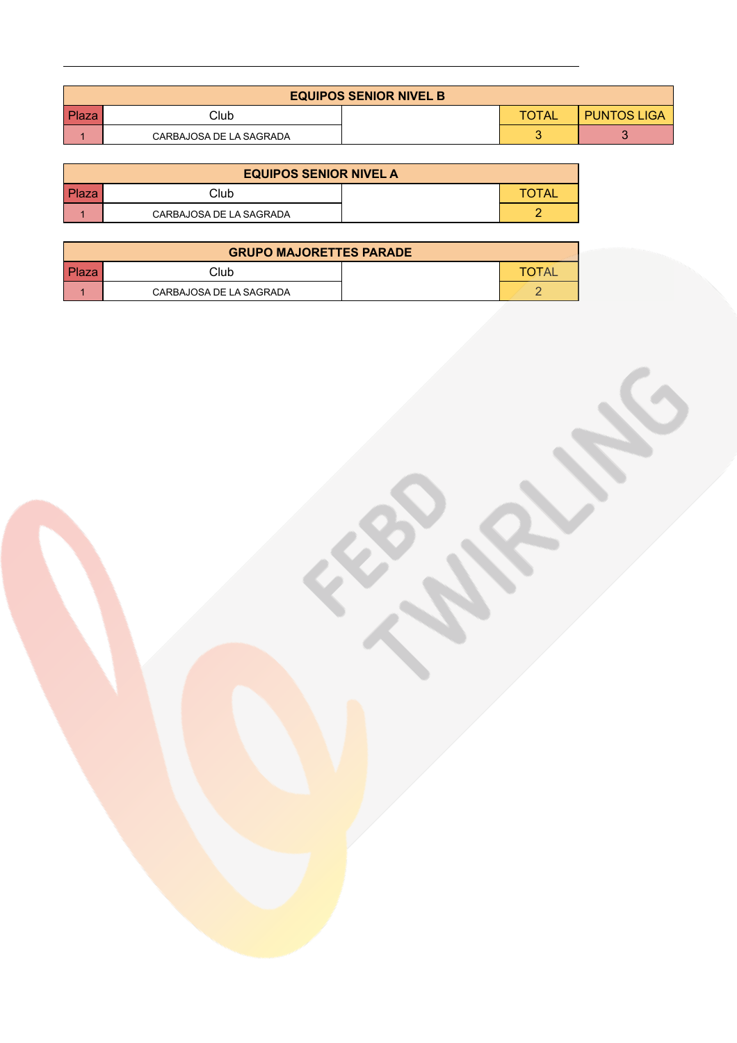| <b>EQUIPOS SENIOR NIVEL B</b> |                         |  |              |                    |  |
|-------------------------------|-------------------------|--|--------------|--------------------|--|
| Plaza                         | Club                    |  | <b>TOTAL</b> | <b>PUNTOS LIGA</b> |  |
|                               | CARBAJOSA DE LA SAGRADA |  |              |                    |  |

CRIPTION

| <b>EQUIPOS SENIOR NIVEL A</b> |                         |  |              |  |  |
|-------------------------------|-------------------------|--|--------------|--|--|
| Plaza                         | Club                    |  | <b>TOTAL</b> |  |  |
|                               | CARBAJOSA DE LA SAGRADA |  |              |  |  |

| <b>GRUPO MAJORETTES PARADE</b> |                         |  |       |  |  |  |  |  |  |  |
|--------------------------------|-------------------------|--|-------|--|--|--|--|--|--|--|
| Plaza                          | Club                    |  | TOTAI |  |  |  |  |  |  |  |
|                                | CARBAJOSA DE LA SAGRADA |  |       |  |  |  |  |  |  |  |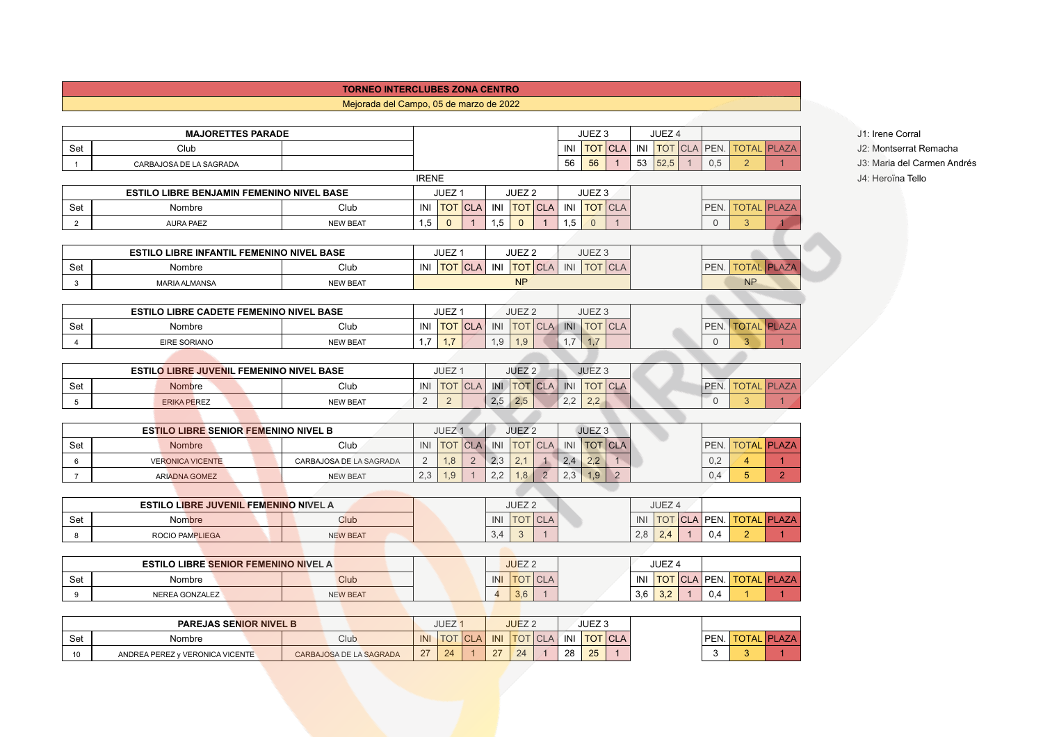## **TORNEO INTERCLUBES ZONA CENTRO**

## Mejorada del Campo, 05 de marzo de 2022

|                | <b>MAJORETTES PARADE</b>                         |                         |                |                   |                 |                           |                   |                                |            | JUEZ <sub>3</sub>                   |     |     | JUEZ 4                 |             |                     |                                |  | J1: Irene Corral |  |
|----------------|--------------------------------------------------|-------------------------|----------------|-------------------|-----------------|---------------------------|-------------------|--------------------------------|------------|-------------------------------------|-----|-----|------------------------|-------------|---------------------|--------------------------------|--|------------------|--|
| Set            | Club                                             |                         |                |                   |                 |                           |                   |                                | INI        | <b>TOT</b> CLA                      | INI |     | TOT CLA PEN.           |             | <b>TOTAL PLAZA</b>  |                                |  | J2: Montserrat F |  |
| $\overline{1}$ | CARBAJOSA DE LA SAGRADA                          |                         |                |                   |                 |                           |                   |                                | 56         | 56                                  | 53  |     | 52,5<br>$\overline{1}$ | 0,5         | 2                   |                                |  | J3: Maria del Ca |  |
|                |                                                  |                         | <b>IRENE</b>   |                   |                 |                           |                   |                                |            |                                     |     |     |                        |             |                     |                                |  | J4: Heroïna Tell |  |
|                | ESTILO LIBRE BENJAMIN FEMENINO NIVEL BASE        |                         |                | JUEZ <sub>1</sub> |                 |                           | JUEZ <sub>2</sub> |                                |            | JUEZ <sub>3</sub>                   |     |     |                        |             |                     |                                |  |                  |  |
| Set            | Nombre                                           | Club                    |                | INI   TOT   CLA   |                 | INI                       | <b>TOT</b> CLA    |                                | INI        | <b>TOT</b> CLA                      |     |     |                        | PEN.        | <b>TOTAL PLAZA</b>  |                                |  |                  |  |
| 2              | <b>AURA PAEZ</b>                                 | <b>NEW BEAT</b>         | 1,5            | $\mathbf{0}$      |                 | 1,5                       | $\mathbf{0}$      |                                | 1,5        | $\overline{0}$                      |     |     |                        | $\Omega$    | $\overline{3}$      |                                |  |                  |  |
|                |                                                  |                         |                |                   |                 |                           |                   |                                |            |                                     |     |     |                        |             |                     |                                |  |                  |  |
|                | <b>ESTILO LIBRE INFANTIL FEMENINO NIVEL BASE</b> |                         |                | JUEZ <sub>1</sub> |                 |                           | JUEZ <sub>2</sub> |                                |            | JUEZ <sub>3</sub>                   |     |     |                        |             |                     |                                |  |                  |  |
| Set            | Nombre                                           | Club                    |                |                   | INI TOT CLA INI |                           | <b>TOT</b> CLA    |                                |            | INI   TOT   CLA                     |     |     |                        | PEN.        | <b>TOTAL PLAZA</b>  |                                |  |                  |  |
| 3              | <b>MARIA ALMANSA</b>                             | <b>NEW BEAT</b>         |                |                   |                 |                           | <b>NP</b>         |                                |            |                                     |     |     |                        |             | <b>NP</b>           |                                |  |                  |  |
|                |                                                  |                         |                |                   |                 |                           |                   |                                |            |                                     |     |     |                        |             |                     |                                |  |                  |  |
|                | ESTILO LIBRE CADETE FEMENINO NIVEL BASE          |                         |                | JUEZ <sub>1</sub> |                 |                           | JUEZ <sub>2</sub> |                                |            | JUEZ <sub>3</sub>                   |     |     |                        |             |                     |                                |  |                  |  |
| Set            | Nombre                                           | Club                    |                |                   | INI   TOT   CLA | INI                       | <b>TOT</b> CLA    |                                |            | INI TOT CLA                         |     |     |                        | PEN.        | <b>TOTAL PLAZA</b>  |                                |  |                  |  |
| $\overline{4}$ | <b>EIRE SORIANO</b>                              | <b>NEW BEAT</b>         | 1,7            | 1,7               |                 | 1,9                       | 1,9               |                                | 1,7        | 1,7                                 |     |     |                        | $\mathbf 0$ | 3                   |                                |  |                  |  |
|                |                                                  |                         |                |                   |                 |                           |                   |                                |            |                                     |     |     |                        |             |                     |                                |  |                  |  |
|                | <b>ESTILO LIBRE JUVENIL FEMENINO NIVEL BASE</b>  |                         |                | JUEZ <sub>1</sub> |                 |                           | JUEZ <sub>2</sub> |                                |            | JUEZ <sub>3</sub>                   |     |     |                        |             |                     |                                |  |                  |  |
| Set            | Nombre                                           | Club                    |                | INI   TOT   CLA   |                 | INI                       | <b>TOT</b> CLA    |                                |            | INI TOT CLA                         |     |     |                        | PEN.        | <b>TOTAL PLAZA</b>  |                                |  |                  |  |
| 5              | <b>ERIKA PEREZ</b>                               | <b>NEW BEAT</b>         | $\overline{2}$ | $\overline{2}$    |                 | 2,5                       | 2,5               |                                | 2,2        | 2,2                                 |     |     |                        | $\Omega$    | $\mathbf{3}$        |                                |  |                  |  |
|                |                                                  |                         |                |                   |                 |                           |                   |                                |            |                                     |     |     |                        |             |                     |                                |  |                  |  |
|                | <b>ESTILO LIBRE SENIOR FEMENINO NIVEL B</b>      |                         |                | JUEZ <sub>1</sub> |                 |                           | JUEZ <sub>2</sub> |                                |            | JUEZ <sub>3</sub>                   |     |     |                        |             |                     |                                |  |                  |  |
| Set            | Nombre                                           | Club                    | INI            |                   | <b>TOT</b> CLA  | $\overline{\mathsf{INI}}$ | <b>TOT</b> CLA    |                                | INI        | <b>TOT</b> CLA                      |     |     |                        | PEN.        | <b>TOTAL PLAZA</b>  |                                |  |                  |  |
| 6              | <b>VERONICA VICENTE</b>                          | CARBAJOSA DE LA SAGRADA | 2<br>2,3       | 1,8               | $\overline{2}$  | 2,3<br>2,2                | 2,1<br>1,8        | $\mathbf{1}$<br>$\overline{2}$ | 2,4<br>2,3 | 2,2<br>1,9<br>$\overline{2}$        |     |     |                        | 0,2<br>0.4  | $\overline{4}$<br>5 | $\mathbf{1}$<br>2 <sup>7</sup> |  |                  |  |
| $\overline{7}$ | <b>ARIADNA GOMEZ</b>                             | <b>NEW BEAT</b>         |                | 1,9               |                 |                           |                   |                                |            |                                     |     |     |                        |             |                     |                                |  |                  |  |
|                | <b>ESTILO LIBRE JUVENIL FEMENINO NIVEL A</b>     |                         |                |                   |                 |                           | JUEZ <sub>2</sub> |                                |            |                                     |     |     | JUEZ <sub>4</sub>      |             |                     |                                |  |                  |  |
| Set            | <b>Nombre</b>                                    | Club                    |                |                   |                 | INI                       | <b>TOT</b> CLA    |                                |            |                                     | INI |     | <b>TOT CLA PEN.</b>    |             | <b>TOTAL PLAZA</b>  |                                |  |                  |  |
| 8              | <b>ROCIO PAMPLIEGA</b>                           | <b>NEW BEAT</b>         |                |                   |                 | 3,4                       | $\mathbf{3}$      | $\overline{1}$                 |            |                                     | 2,8 | 2,4 |                        | 0.4         | $\overline{2}$      | $\overline{1}$                 |  |                  |  |
|                |                                                  |                         |                |                   |                 |                           |                   |                                |            |                                     |     |     |                        |             |                     |                                |  |                  |  |
|                | ESTILO LIBRE SENIOR FEMENINO NIVEL A             |                         |                |                   |                 |                           | JUEZ <sub>2</sub> |                                |            |                                     |     |     | JUEZ <sub>4</sub>      |             |                     |                                |  |                  |  |
| Set            | Nombre                                           | Club                    |                |                   |                 | INI                       | <b>TOT</b> CLA    |                                |            |                                     |     |     | INI   TOT   CLA   PEN. |             | <b>TOTAL PLAZA</b>  |                                |  |                  |  |
| 9              | NEREA GONZALEZ                                   | <b>NEW BEAT</b>         |                |                   |                 | $\overline{4}$            | 3,6               | $\overline{1}$                 |            |                                     | 3,6 | 3,2 | $\mathbf 1$            | 0,4         |                     | $\overline{1}$                 |  |                  |  |
|                |                                                  |                         |                |                   |                 |                           |                   |                                |            |                                     |     |     |                        |             |                     |                                |  |                  |  |
|                | <b>PAREJAS SENIOR NIVEL B</b>                    |                         |                | JUEZ <sub>1</sub> |                 |                           | JUEZ <sub>2</sub> |                                |            | JUEZ <sub>3</sub>                   |     |     |                        |             |                     |                                |  |                  |  |
| Set            | Nombre                                           | Club                    |                |                   |                 |                           |                   |                                |            | INI TOT CLA INI TOT CLA INI TOT CLA |     |     |                        |             | PEN. TOTAL PLAZA    |                                |  |                  |  |

10 ANDREA PEREZ Y VERONICA VICENTE CARBAJOSA DE LA SAGRADA 27 24 1 27 24 1 28 25 1 3 3 1

J2: Montserrat Remacha J3: Maria del Carmen Andrés J4: Heroïna Tello